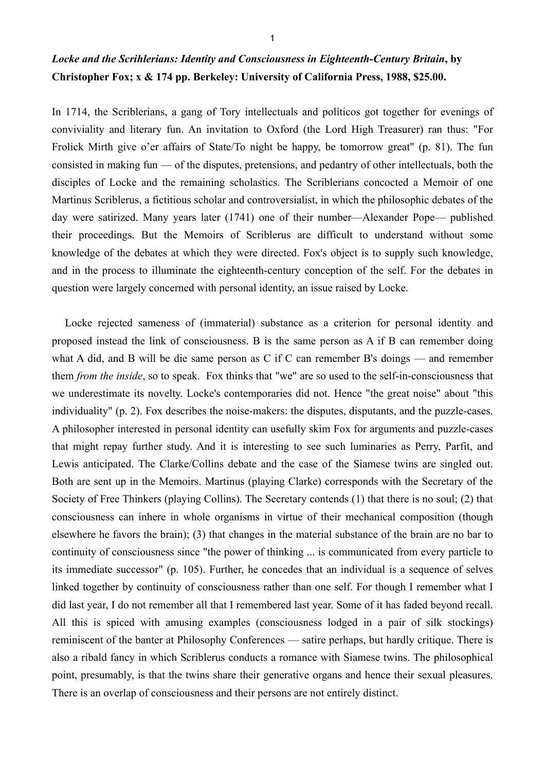## *Locke and the Scrihlerians: Identity and Consciousness in Eighteenth-Century Britain***, by Christopher Fox; x & 174 pp. Berkeley: University of California Press, 1988, \$25.00.**

In 1714, the Scriblerians, a gang of Tory intellectuals and políticos got together for evenings of conviviality and literary fun. An invitation to Oxford (the Lord High Treasurer) ran thus: "For Frolick Mirth give o'er affairs of State/To night be happy, be tomorrow great" (p. 81). The fun consisted in making fun — of the disputes, pretensions, and pedantry of other intellectuals, both the disciples of Locke and the remaining scholastics. The Scriblerians concocted a Memoir of one Martinus Scriblerus, a fictitious scholar and controversialist, in which the philosophic debates of the day were satirized. Many years later (1741) one of their number—Alexander Pope— published their proceedings. But the Memoirs of Scriblerus are difficult to understand without some knowledge of the debates at which they were directed. Fox's object is to supply such knowledge, and in the process to illuminate the eighteenth-century conception of the self. For the debates in question were largely concerned with personal identity, an issue raised by Locke.

 Locke rejected sameness of (immaterial) substance as a criterion for personal identity and proposed instead the link of consciousness. B is the same person as A if B can remember doing what A did, and B will be die same person as C if C can remember B's doings — and remember them *from the inside*, so to speak. Fox thinks that "we" are so used to the self-in-consciousness that we underestimate its novelty. Locke's contemporaries did not. Hence "the great noise" about "this individuality" (p. 2). Fox describes the noise-makers: the disputes, disputants, and the puzzle-cases. A philosopher interested in personal identity can usefully skim Fox for arguments and puzzle-cases that might repay further study. And it is interesting to see such luminaries as Perry, Parfit, and Lewis anticipated. The Clarke/Collins debate and the case of the Siamese twins are singled out. Both are sent up in the Memoirs. Martinus (playing Clarke) corresponds with the Secretary of the Society of Free Thinkers (playing Collins). The Secretary contends (1) that there is no soul; (2) that consciousness can inhere in whole organisms in virtue of their mechanical composition (though elsewhere he favors the brain); (3) that changes in the material substance of the brain are no bar to continuity of consciousness since "the power of thinking ... is communicated from every particle to its immediate successor" (p. 105). Further, he concedes that an individual is a sequence of selves linked together by continuity of consciousness rather than one self. For though I remember what I did last year, I do not remember all that I remembered last year. Some of it has faded beyond recall. All this is spiced with amusing examples (consciousness lodged in a pair of silk stockings) reminiscent of the banter at Philosophy Conferences — satire perhaps, but hardly critique. There is also a ribald fancy in which Scriblerus conducts a romance with Siamese twins. The philosophical point, presumably, is that the twins share their generative organs and hence their sexual pleasures. There is an overlap of consciousness and their persons are not entirely distinct.